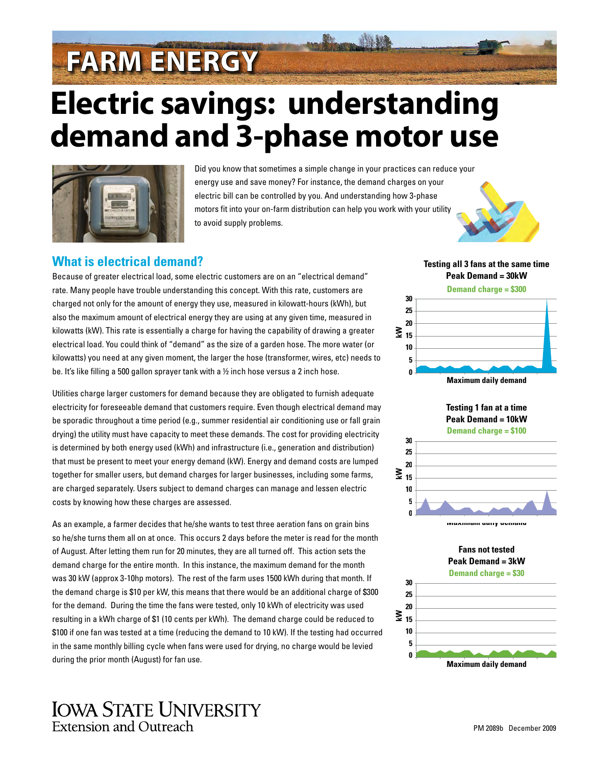# **FARM ENERGY**

# **Electric savings: understanding demand and 3-phase motor use**



Did you know that sometimes a simple change in your practices can reduce your energy use and save money? For instance, the demand charges on your electric bill can be controlled by you. And understanding how 3-phase motors fit into your on-farm distribution can help you work with your utility to avoid supply problems.



**Testing all 3 fans at the same time**

## **What is electrical demand?**

Because of greater electrical load, some electric customers are on an "electrical demand" rate. Many people have trouble understanding this concept. With this rate, customers are charged not only for the amount of energy they use, measured in kilowatt-hours (kWh), but also the maximum amount of electrical energy they are using at any given time, measured in kilowatts (kW). This rate is essentially a charge for having the capability of drawing a greater electrical load. You could think of "demand" as the size of a garden hose. The more water (or kilowatts) you need at any given moment, the larger the hose (transformer, wires, etc) needs to be. It's like filling a 500 gallon sprayer tank with a ½ inch hose versus a 2 inch hose.

Utilities charge larger customers for demand because they are obligated to furnish adequate electricity for foreseeable demand that customers require. Even though electrical demand may be sporadic throughout a time period (e.g., summer residential air conditioning use or fall grain drying) the utility must have capacity to meet these demands. The cost for providing electricity is determined by both energy used (kWh) and infrastructure (i.e., generation and distribution) that must be present to meet your energy demand (kW). Energy and demand costs are lumped together for smaller users, but demand charges for larger businesses, including some farms, are charged separately. Users subject to demand charges can manage and lessen electric costs by knowing how these charges are assessed.

As an example, a farmer decides that he/she wants to test three aeration fans on grain bins so he/she turns them all on at once. This occurs 2 days before the meter is read for the month of August. After letting them run for 20 minutes, they are all turned off. This action sets the demand charge for the entire month. In this instance, the maximum demand for the month was 30 kW (approx 3-10hp motors). The rest of the farm uses 1500 kWh during that month. If the demand charge is \$10 per kW, this means that there would be an additional charge of \$300 for the demand. During the time the fans were tested, only 10 kWh of electricity was used resulting in a kWh charge of \$1 (10 cents per kWh). The demand charge could be reduced to \$100 if one fan was tested at a time (reducing the demand to 10 kW). If the testing had occurred in the same monthly billing cycle when fans were used for drying, no charge would be levied during the prior month (August) for fan use.





**Fans not tested Peak Demand = 3kW**





# **IOWA STATE UNIVERSITY** Extension and Outreach